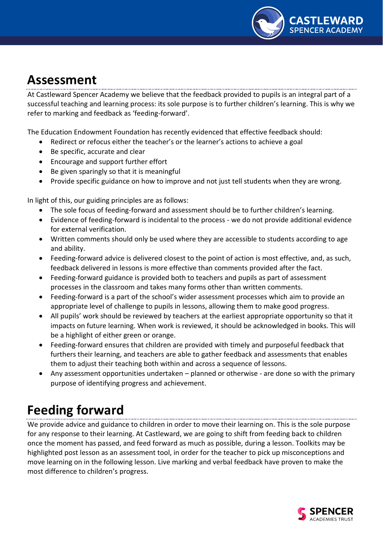

## **Assessment**

At Castleward Spencer Academy we believe that the feedback provided to pupils is an integral part of a successful teaching and learning process: its sole purpose is to further children's learning. This is why we refer to marking and feedback as 'feeding-forward'.

The Education Endowment Foundation has recently evidenced that effective feedback should:

- Redirect or refocus either the teacher's or the learner's actions to achieve a goal
- Be specific, accurate and clear
- Encourage and support further effort
- Be given sparingly so that it is meaningful
- Provide specific guidance on how to improve and not just tell students when they are wrong.

In light of this, our guiding principles are as follows:

- The sole focus of feeding-forward and assessment should be to further children's learning.
- Evidence of feeding-forward is incidental to the process we do not provide additional evidence for external verification.
- Written comments should only be used where they are accessible to students according to age and ability.
- Feeding-forward advice is delivered closest to the point of action is most effective, and, as such, feedback delivered in lessons is more effective than comments provided after the fact.
- Feeding-forward guidance is provided both to teachers and pupils as part of assessment processes in the classroom and takes many forms other than written comments.
- Feeding-forward is a part of the school's wider assessment processes which aim to provide an appropriate level of challenge to pupils in lessons, allowing them to make good progress.
- All pupils' work should be reviewed by teachers at the earliest appropriate opportunity so that it impacts on future learning. When work is reviewed, it should be acknowledged in books. This will be a highlight of either green or orange.
- Feeding-forward ensures that children are provided with timely and purposeful feedback that furthers their learning, and teachers are able to gather feedback and assessments that enables them to adjust their teaching both within and across a sequence of lessons.
- Any assessment opportunities undertaken planned or otherwise are done so with the primary purpose of identifying progress and achievement.

# **Feeding forward**

We provide advice and guidance to children in order to move their learning on. This is the sole purpose for any response to their learning. At Castleward, we are going to shift from feeding back to children once the moment has passed, and feed forward as much as possible, during a lesson. Toolkits may be highlighted post lesson as an assessment tool, in order for the teacher to pick up misconceptions and move learning on in the following lesson. Live marking and verbal feedback have proven to make the most difference to children's progress.

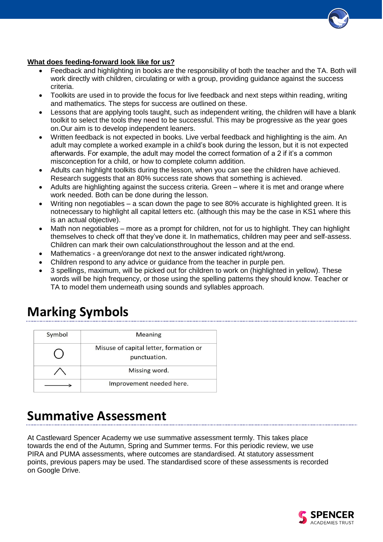#### **What does feeding-forward look like for us?**

- Feedback and highlighting in books are the responsibility of both the teacher and the TA. Both will work directly with children, circulating or with a group, providing guidance against the success criteria.
- Toolkits are used in to provide the focus for live feedback and next steps within reading, writing and mathematics. The steps for success are outlined on these.
- Lessons that are applying tools taught, such as independent writing, the children will have a blank toolkit to select the tools they need to be successful. This may be progressive as the year goes on.Our aim is to develop independent leaners.
- Written feedback is not expected in books. Live verbal feedback and highlighting is the aim. An adult may complete a worked example in a child's book during the lesson, but it is not expected afterwards. For example, the adult may model the correct formation of a 2 if it's a common misconception for a child, or how to complete column addition.
- Adults can highlight toolkits during the lesson, when you can see the children have achieved. Research suggests that an 80% success rate shows that something is achieved.
- Adults are highlighting against the success criteria. Green where it is met and orange where work needed. Both can be done during the lesson.
- Writing non negotiables a scan down the page to see 80% accurate is highlighted green. It is not necessary to highlight all capital letters etc. (although this may be the case in KS1 where this is an actual objective).
- Math non negotiables more as a prompt for children, not for us to highlight. They can highlight themselves to check off that they've done it. In mathematics, children may peer and self-assess. Children can mark their own calculationsthroughout the lesson and at the end.
- Mathematics a green/orange dot next to the answer indicated right/wrong.
- Children respond to any advice or guidance from the teacher in purple pen.
- 3 spellings, maximum, will be picked out for children to work on (highlighted in yellow). These words will be high frequency, or those using the spelling patterns they should know. Teacher or TA to model them underneath using sounds and syllables approach.

### **Marking Symbols**

| Symbol | <b>Meaning</b>                                         |
|--------|--------------------------------------------------------|
|        | Misuse of capital letter, formation or<br>punctuation. |
|        | Missing word.                                          |
|        | Improvement needed here.                               |

### **Summative Assessment**

At Castleward Spencer Academy we use summative assessment termly. This takes place towards the end of the Autumn, Spring and Summer terms. For this periodic review, we use PIRA and PUMA assessments, where outcomes are standardised. At statutory assessment points, previous papers may be used. The standardised score of these assessments is recorded on Google Drive.